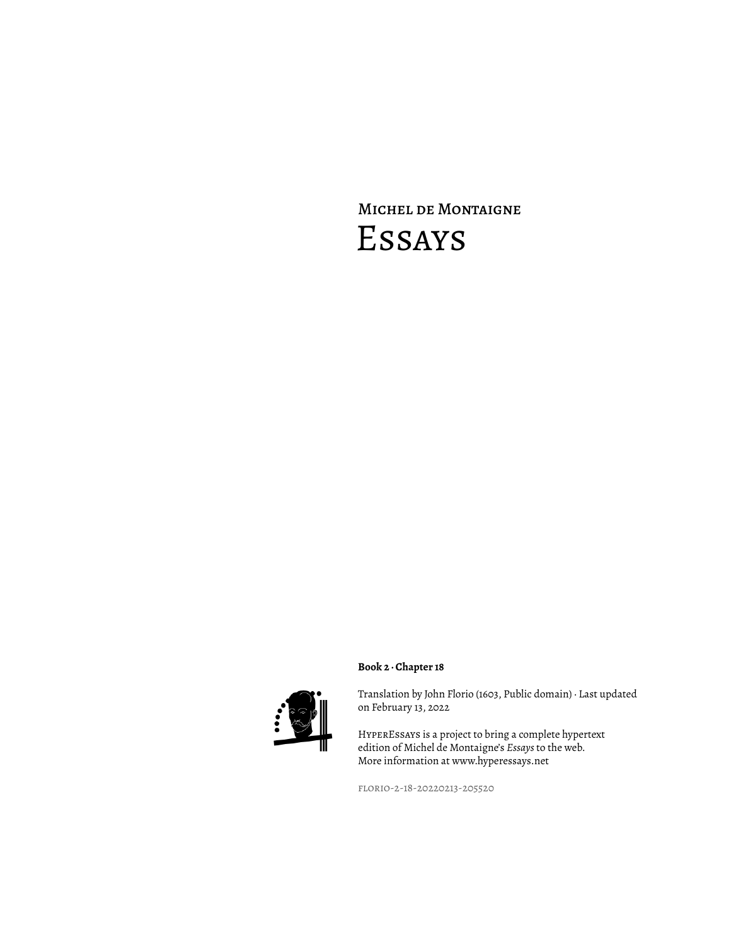# Michel de Montaigne Essays



Translation by John Florio (1603, Public domain) · Last updated on February 13, 2022

HyperEssays is a project to bring a complete hypertext edition of Michel de Montaigne's *Essays* to the web. More information at www.hyperessays.net

florio-2-18-20220213-205520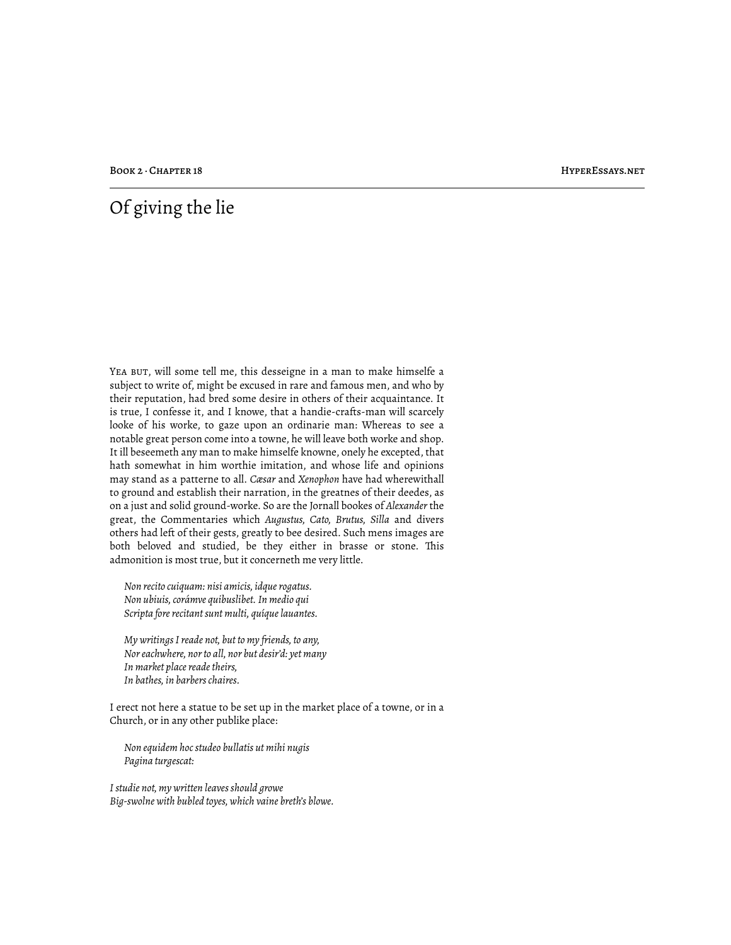BOOK 2 · CHAPTER 18 HYPERESSAYS.NET

## Of giving the lie

YEA BUT, will some tell me, this desseigne in a man to make himselfe a subject to write of, might be excused in rare and famous men, and who by their reputation, had bred some desire in others of their acquaintance. It is true, I confesse it, and I knowe, that a handie-crafts-man will scarcely looke of his worke, to gaze upon an ordinarie man: Whereas to see a notable great person come into a towne, he will leave both worke and shop. It ill beseemeth any man to make himselfe knowne, onely he excepted, that hath somewhat in him worthie imitation, and whose life and opinions may stand as a patterne to all. *Cæsar* and *Xenophon* have had wherewithall to ground and establish their narration, in the greatnes of their deedes, as on a just and solid ground-worke. So are the Jornall bookes of *Alexander* the great, the Commentaries which *Augustus, Cato, Brutus, Silla* and divers others had left of their gests, greatly to bee desired. Such mens images are both beloved and studied, be they either in brasse or stone. This admonition is most true, but it concerneth me very little.

*Non recito cuiquam: nisi amicis, idque rogatus. Non ubiuis, corámve quibuslibet. In medio qui Scripta fore recitant sunt multi, quíque lauantes.*

*My writings I reade not, but to my friends, to any, Nor eachwhere, nor to all, nor but desir'd: yet many In market place reade theirs, In bathes, in barbers chaires.*

I erect not here a statue to be set up in the market place of a towne, or in a Church, or in any other publike place:

*Non equidem hoc studeo bullatis ut mihi nugis Pagina turgescat:*

*I studie not, my written leaves should growe Big-swolne with bubled toyes, which vaine breth's blowe.*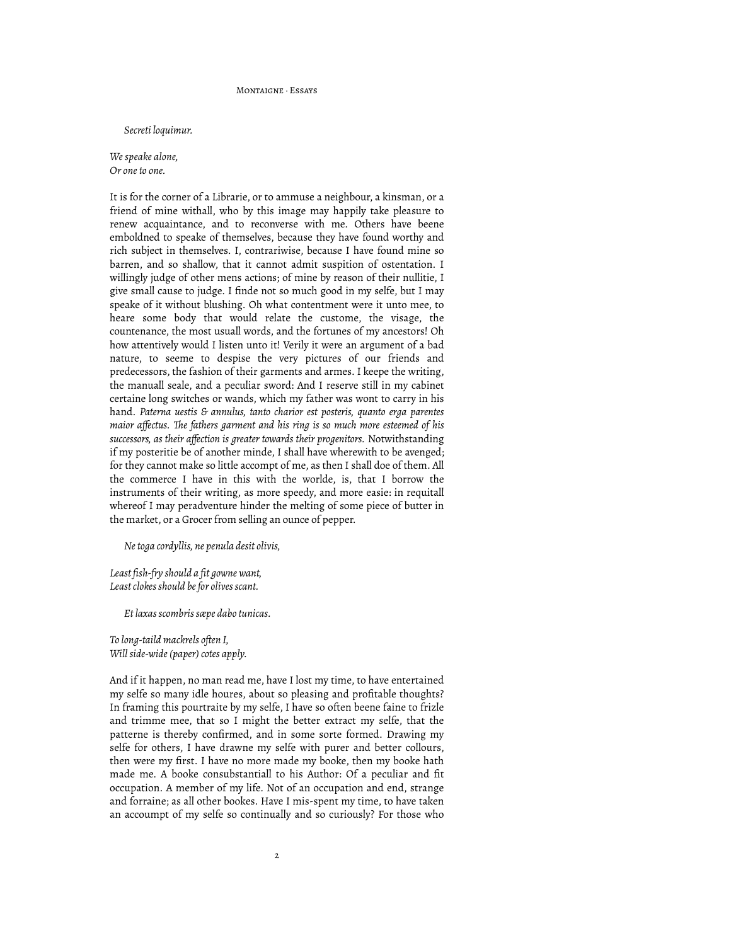### MONTAIGNE, Feeave

*Secreti loquimur.*

*We speake alone, Or one to one.*

It is for the corner of a Librarie, or to ammuse a neighbour, a kinsman, or a friend of mine withall, who by this image may happily take pleasure to renew acquaintance, and to reconverse with me. Others have beene emboldned to speake of themselves, because they have found worthy and rich subject in themselves. I, contrariwise, because I have found mine so barren, and so shallow, that it cannot admit suspition of ostentation. I willingly judge of other mens actions; of mine by reason of their nullitie, I give small cause to judge. I finde not so much good in my selfe, but I may speake of it without blushing. Oh what contentment were it unto mee, to heare some body that would relate the custome, the visage, the countenance, the most usuall words, and the fortunes of my ancestors! Oh how attentively would I listen unto it! Verily it were an argument of a bad nature, to seeme to despise the very pictures of our friends and predecessors, the fashion of their garments and armes. I keepe the writing, the manuall seale, and a peculiar sword: And I reserve still in my cabinet certaine long switches or wands, which my father was wont to carry in his hand. *Paterna uestis & annulus, tanto charior est posteris, quanto erga parentes maior affectus. "e fathers garment and his ring is so much more esteemed of his successors, as their affection is greater towards their progenitors.* Notwithstanding if my posteritie be of another minde, I shall have wherewith to be avenged; for they cannot make so little accompt of me, as then I shall doe of them. All the commerce I have in this with the worlde, is, that I borrow the instruments of their writing, as more speedy, and more easie: in requitall whereof I may peradventure hinder the melting of some piece of butter in the market, or a Grocer from selling an ounce of pepper.

*Ne toga cordyllis, ne penula desit olivis,*

*Least fish-fry should a fit gowne want, Least clokes should be for olives scant.*

*Et laxas scombris sæpe dabo tunicas.*

*To long-taild mackrels often I, Will side-wide (paper) cotes apply.*

And if it happen, no man read me, have I lost my time, to have entertained my selfe so many idle houres, about so pleasing and profitable thoughts? In framing this pourtraite by my selfe, I have so often beene faine to frizle and trimme mee, that so I might the better extract my selfe, that the patterne is thereby confirmed, and in some sorte formed. Drawing my selfe for others, I have drawne my selfe with purer and better collours, then were my first. I have no more made my booke, then my booke hath made me. A booke consubstantiall to his Author: Of a peculiar and fit occupation. A member of my life. Not of an occupation and end, strange and forraine; as all other bookes. Have I mis-spent my time, to have taken an accoumpt of my selfe so continually and so curiously? For those who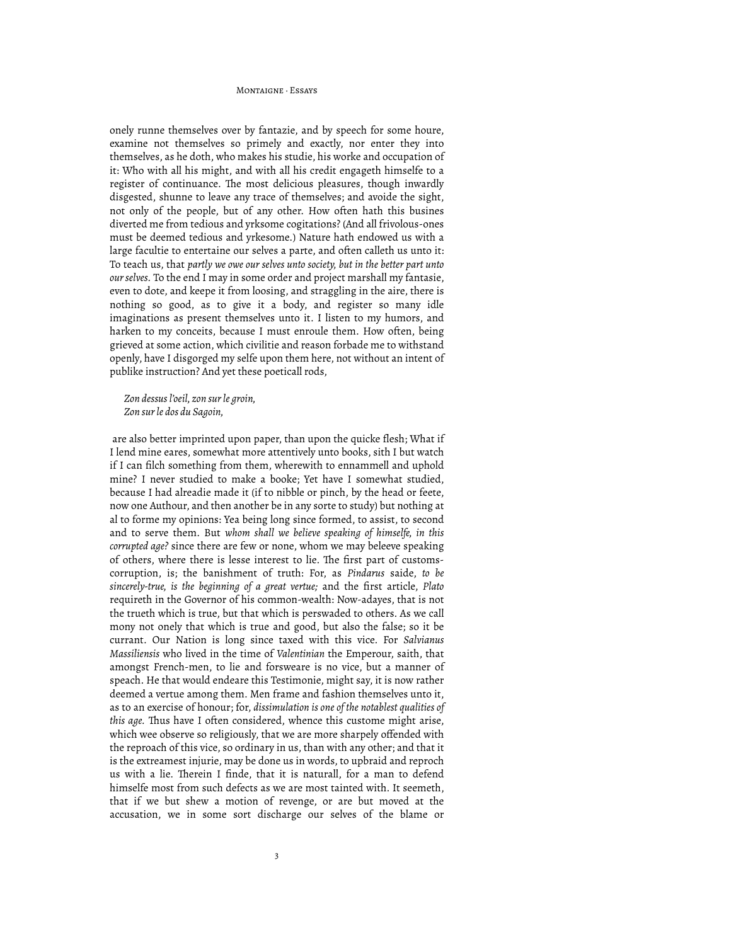#### MONTAIGNE, Feeave

onely runne themselves over by fantazie, and by speech for some houre, examine not themselves so primely and exactly, nor enter they into themselves, as he doth, who makes his studie, his worke and occupation of it: Who with all his might, and with all his credit engageth himselfe to a register of continuance. The most delicious pleasures, though inwardly disgested, shunne to leave any trace of themselves; and avoide the sight, not only of the people, but of any other. How often hath this busines diverted me from tedious and yrksome cogitations? (And all frivolous-ones must be deemed tedious and yrkesome.) Nature hath endowed us with a large facultie to entertaine our selves a parte, and often calleth us unto it: To teach us, that *partly we owe our selves unto society, but in the better part unto our selves.* To the end I may in some order and project marshall my fantasie, even to dote, and keepe it from loosing, and straggling in the aire, there is nothing so good, as to give it a body, and register so many idle imaginations as present themselves unto it. I listen to my humors, and harken to my conceits, because I must enroule them. How often, being grieved at some action, which civilitie and reason forbade me to withstand openly, have I disgorged my selfe upon them here, not without an intent of publike instruction? And yet these poeticall rods,

*Zon dessus l'oeil, zon sur le groin, Zon sur le dos du Sagoin,*

 are also better imprinted upon paper, than upon the quicke flesh; What if I lend mine eares, somewhat more attentively unto books, sith I but watch if I can filch something from them, wherewith to ennammell and uphold mine? I never studied to make a booke; Yet have I somewhat studied, because I had alreadie made it (if to nibble or pinch, by the head or feete, now one Authour, and then another be in any sorte to study) but nothing at al to forme my opinions: Yea being long since formed, to assist, to second and to serve them. But *whom shall we believe speaking of himselfe, in this corrupted age?* since there are few or none, whom we may beleeve speaking of others, where there is lesse interest to lie. The first part of customscorruption, is; the banishment of truth: For, as *Pindarus* saide, *to be sincerely-true, is the beginning of a great vertue;* and the first article, *Plato* requireth in the Governor of his common-wealth: Now-adayes, that is not the trueth which is true, but that which is perswaded to others. As we call mony not onely that which is true and good, but also the false; so it be currant. Our Nation is long since taxed with this vice. For *Salvianus Massiliensis* who lived in the time of *Valentinian* the Emperour, saith, that amongst French-men, to lie and forsweare is no vice, but a manner of speach. He that would endeare this Testimonie, might say, it is now rather deemed a vertue among them. Men frame and fashion themselves unto it, as to an exercise of honour; for, *dissimulation is one of the notablest qualities of*  this age. Thus have I often considered, whence this custome might arise, which wee observe so religiously, that we are more sharpely offended with the reproach of this vice, so ordinary in us, than with any other; and that it is the extreamest injurie, may be done us in words, to upbraid and reproch us with a lie. Therein I finde, that it is naturall, for a man to defend himselfe most from such defects as we are most tainted with. It seemeth, that if we but shew a motion of revenge, or are but moved at the accusation, we in some sort discharge our selves of the blame or